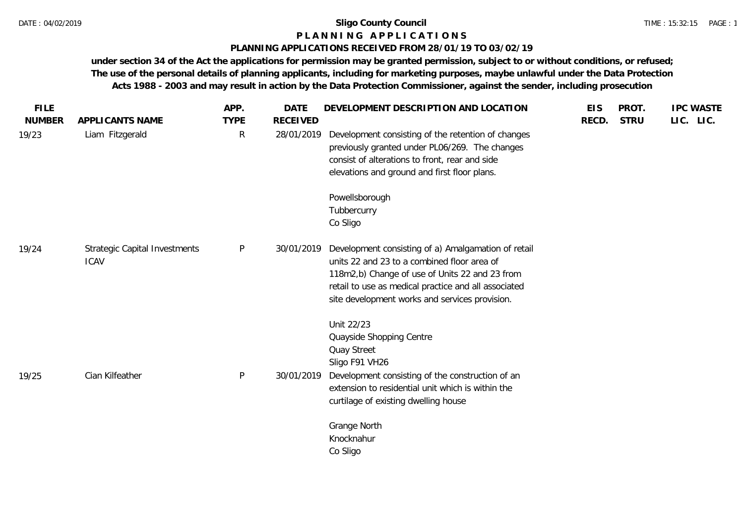# **P L A N N I N G A P P L I C A T I O N S**

# **PLANNING APPLICATIONS RECEIVED FROM 28/01/19 TO 03/02/19**

**under section 34 of the Act the applications for permission may be granted permission, subject to or without conditions, or refused; The use of the personal details of planning applicants, including for marketing purposes, maybe unlawful under the Data Protection Acts 1988 - 2003 and may result in action by the Data Protection Commissioner, against the sender, including prosecution**

| <b>FILE</b><br><b>NUMBER</b> | APPLICANTS NAME                                     | APP.<br><b>TYPE</b> | <b>DATE</b><br><b>RECEIVED</b> | DEVELOPMENT DESCRIPTION AND LOCATION                                                                                                                                                                                                                           | <b>EIS</b><br>RECD. | PROT.<br><b>STRU</b> | <b>IPC WASTE</b><br>LIC. LIC. |
|------------------------------|-----------------------------------------------------|---------------------|--------------------------------|----------------------------------------------------------------------------------------------------------------------------------------------------------------------------------------------------------------------------------------------------------------|---------------------|----------------------|-------------------------------|
| 19/23                        | Liam Fitzgerald                                     | $\mathsf{R}$        | 28/01/2019                     | Development consisting of the retention of changes<br>previously granted under PL06/269. The changes<br>consist of alterations to front, rear and side<br>elevations and ground and first floor plans.                                                         |                     |                      |                               |
|                              |                                                     |                     |                                | Powellsborough<br>Tubbercurry<br>Co Sligo                                                                                                                                                                                                                      |                     |                      |                               |
| 19/24                        | <b>Strategic Capital Investments</b><br><b>ICAV</b> | P                   | 30/01/2019                     | Development consisting of a) Amalgamation of retail<br>units 22 and 23 to a combined floor area of<br>118m2,b) Change of use of Units 22 and 23 from<br>retail to use as medical practice and all associated<br>site development works and services provision. |                     |                      |                               |
|                              |                                                     |                     |                                | Unit 22/23<br>Quayside Shopping Centre<br><b>Quay Street</b><br>Sligo F91 VH26                                                                                                                                                                                 |                     |                      |                               |
| 19/25                        | Cian Kilfeather                                     | P                   | 30/01/2019                     | Development consisting of the construction of an<br>extension to residential unit which is within the<br>curtilage of existing dwelling house                                                                                                                  |                     |                      |                               |
|                              |                                                     |                     |                                | Grange North<br>Knocknahur<br>Co Sligo                                                                                                                                                                                                                         |                     |                      |                               |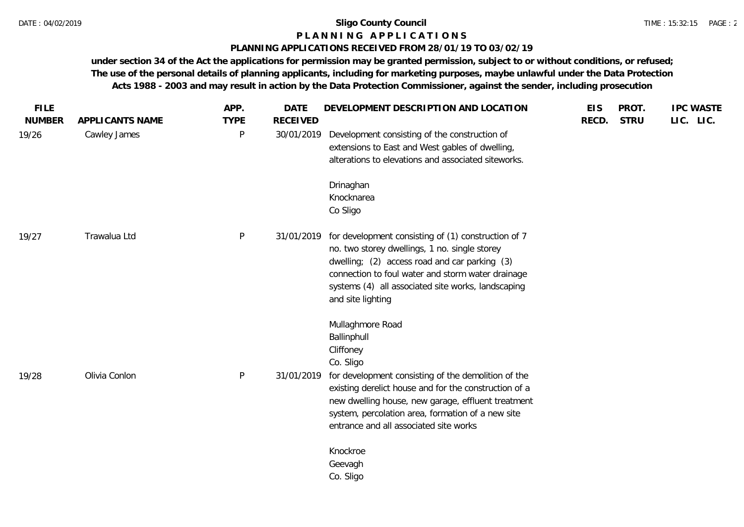# **P L A N N I N G A P P L I C A T I O N S**

## **PLANNING APPLICATIONS RECEIVED FROM 28/01/19 TO 03/02/19**

**under section 34 of the Act the applications for permission may be granted permission, subject to or without conditions, or refused; The use of the personal details of planning applicants, including for marketing purposes, maybe unlawful under the Data Protection Acts 1988 - 2003 and may result in action by the Data Protection Commissioner, against the sender, including prosecution**

| <b>FILE</b><br><b>NUMBER</b> | APPLICANTS NAME | APP.<br><b>TYPE</b> | <b>DATE</b><br><b>RECEIVED</b> | DEVELOPMENT DESCRIPTION AND LOCATION                                                                                                                                                                                                                                                  | <b>EIS</b><br>RECD. | PROT.<br><b>STRU</b> | <b>IPC WASTE</b><br>LIC. LIC. |
|------------------------------|-----------------|---------------------|--------------------------------|---------------------------------------------------------------------------------------------------------------------------------------------------------------------------------------------------------------------------------------------------------------------------------------|---------------------|----------------------|-------------------------------|
| 19/26                        | Cawley James    | P                   | 30/01/2019                     | Development consisting of the construction of<br>extensions to East and West gables of dwelling,<br>alterations to elevations and associated siteworks.                                                                                                                               |                     |                      |                               |
|                              |                 |                     |                                | Drinaghan<br>Knocknarea<br>Co Sligo                                                                                                                                                                                                                                                   |                     |                      |                               |
| 19/27                        | Trawalua Ltd    | P                   | 31/01/2019                     | for development consisting of (1) construction of 7<br>no. two storey dwellings, 1 no. single storey<br>dwelling; (2) access road and car parking (3)<br>connection to foul water and storm water drainage<br>systems (4) all associated site works, landscaping<br>and site lighting |                     |                      |                               |
|                              |                 |                     |                                | Mullaghmore Road<br>Ballinphull<br>Cliffoney<br>Co. Sligo                                                                                                                                                                                                                             |                     |                      |                               |
| 19/28                        | Olivia Conlon   | $\mathsf{P}$        | 31/01/2019                     | for development consisting of the demolition of the<br>existing derelict house and for the construction of a<br>new dwelling house, new garage, effluent treatment<br>system, percolation area, formation of a new site<br>entrance and all associated site works                     |                     |                      |                               |
|                              |                 |                     |                                | Knockroe<br>Geevagh<br>Co. Sligo                                                                                                                                                                                                                                                      |                     |                      |                               |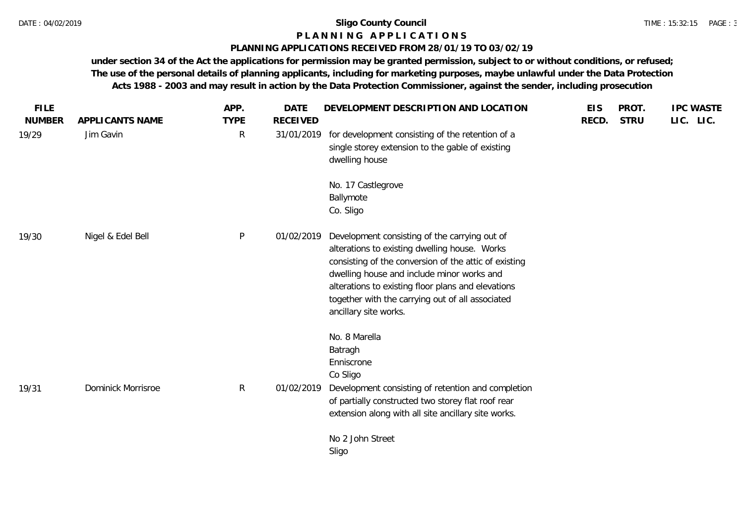### **P L A N N I N G A P P L I C A T I O N S**

### **PLANNING APPLICATIONS RECEIVED FROM 28/01/19 TO 03/02/19**

**under section 34 of the Act the applications for permission may be granted permission, subject to or without conditions, or refused; The use of the personal details of planning applicants, including for marketing purposes, maybe unlawful under the Data Protection Acts 1988 - 2003 and may result in action by the Data Protection Commissioner, against the sender, including prosecution**

| <b>FILE</b><br><b>NUMBER</b> | APPLICANTS NAME           | APP.<br><b>TYPE</b> | <b>DATE</b><br><b>RECEIVED</b> | DEVELOPMENT DESCRIPTION AND LOCATION                                                                                                                                                                                                                                                                                                     | <b>EIS</b><br>RECD. | PROT.<br><b>STRU</b> | <b>IPC WASTE</b><br>LIC. LIC. |
|------------------------------|---------------------------|---------------------|--------------------------------|------------------------------------------------------------------------------------------------------------------------------------------------------------------------------------------------------------------------------------------------------------------------------------------------------------------------------------------|---------------------|----------------------|-------------------------------|
| 19/29                        | Jim Gavin                 | $\mathsf{R}$        | 31/01/2019                     | for development consisting of the retention of a<br>single storey extension to the gable of existing<br>dwelling house                                                                                                                                                                                                                   |                     |                      |                               |
|                              |                           |                     |                                | No. 17 Castlegrove<br>Ballymote<br>Co. Sligo                                                                                                                                                                                                                                                                                             |                     |                      |                               |
| 19/30                        | Nigel & Edel Bell         | P                   | 01/02/2019                     | Development consisting of the carrying out of<br>alterations to existing dwelling house. Works<br>consisting of the conversion of the attic of existing<br>dwelling house and include minor works and<br>alterations to existing floor plans and elevations<br>together with the carrying out of all associated<br>ancillary site works. |                     |                      |                               |
| 19/31                        | <b>Dominick Morrisroe</b> | $\mathsf{R}$        | 01/02/2019                     | No. 8 Marella<br>Batragh<br>Enniscrone<br>Co Sligo<br>Development consisting of retention and completion<br>of partially constructed two storey flat roof rear<br>extension along with all site ancillary site works.                                                                                                                    |                     |                      |                               |
|                              |                           |                     |                                | No 2 John Street<br>Sligo                                                                                                                                                                                                                                                                                                                |                     |                      |                               |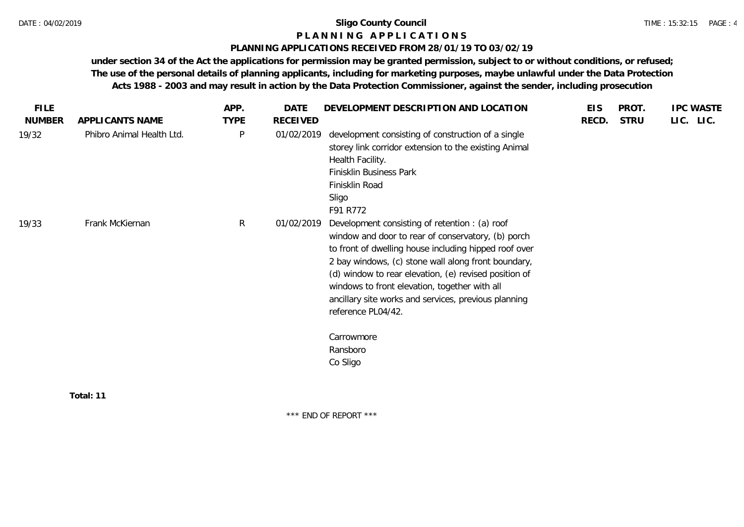# **P L A N N I N G A P P L I C A T I O N S**

#### **PLANNING APPLICATIONS RECEIVED FROM 28/01/19 TO 03/02/19**

**under section 34 of the Act the applications for permission may be granted permission, subject to or without conditions, or refused; The use of the personal details of planning applicants, including for marketing purposes, maybe unlawful under the Data Protection Acts 1988 - 2003 and may result in action by the Data Protection Commissioner, against the sender, including prosecution**

| <b>NUMBER</b><br>19/32 |                           |             |            |                                                                                                                                                                                                                                                                                                                                                                                                                                                    |       |             | <b>IPC WASTE</b> |
|------------------------|---------------------------|-------------|------------|----------------------------------------------------------------------------------------------------------------------------------------------------------------------------------------------------------------------------------------------------------------------------------------------------------------------------------------------------------------------------------------------------------------------------------------------------|-------|-------------|------------------|
|                        | APPLICANTS NAME           | <b>TYPE</b> | RECEIVED   |                                                                                                                                                                                                                                                                                                                                                                                                                                                    | RECD. | <b>STRU</b> | LIC. LIC.        |
|                        | Phibro Animal Health Ltd. | P           | 01/02/2019 | development consisting of construction of a single<br>storey link corridor extension to the existing Animal<br>Health Facility.<br>Finisklin Business Park<br>Finisklin Road<br>Sligo<br>F91 R772                                                                                                                                                                                                                                                  |       |             |                  |
| 19/33                  | Frank McKiernan           | R           | 01/02/2019 | Development consisting of retention : (a) roof<br>window and door to rear of conservatory, (b) porch<br>to front of dwelling house including hipped roof over<br>2 bay windows, (c) stone wall along front boundary,<br>(d) window to rear elevation, (e) revised position of<br>windows to front elevation, together with all<br>ancillary site works and services, previous planning<br>reference PL04/42.<br>Carrowmore<br>Ransboro<br>Co Sligo |       |             |                  |
|                        | Total: 11                 |             |            |                                                                                                                                                                                                                                                                                                                                                                                                                                                    |       |             |                  |

\*\*\* END OF REPORT \*\*\*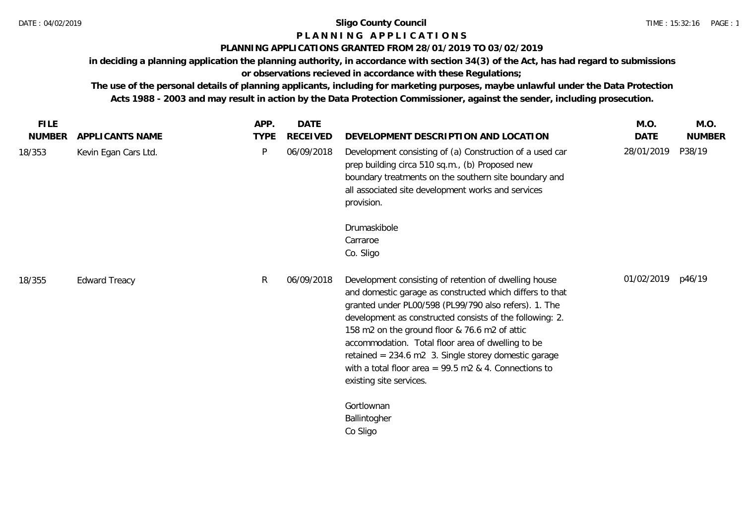# **P L A N N I N G A P P L I C A T I O N S**

# **PLANNING APPLICATIONS GRANTED FROM 28/01/2019 TO 03/02/2019**

**in deciding a planning application the planning authority, in accordance with section 34(3) of the Act, has had regard to submissions or observations recieved in accordance with these Regulations;**

**The use of the personal details of planning applicants, including for marketing purposes, maybe unlawful under the Data Protection Acts 1988 - 2003 and may result in action by the Data Protection Commissioner, against the sender, including prosecution.**

| <b>FILE</b>   |                      | APP.        | DATE            |                                                                                                                                                                                                                                                                                                                                                                                                                                                                                            | M.O.              | M.O.          |
|---------------|----------------------|-------------|-----------------|--------------------------------------------------------------------------------------------------------------------------------------------------------------------------------------------------------------------------------------------------------------------------------------------------------------------------------------------------------------------------------------------------------------------------------------------------------------------------------------------|-------------------|---------------|
| <b>NUMBER</b> | APPLICANTS NAME      | <b>TYPE</b> | <b>RECEIVED</b> | DEVELOPMENT DESCRIPTION AND LOCATION                                                                                                                                                                                                                                                                                                                                                                                                                                                       | <b>DATE</b>       | <b>NUMBER</b> |
| 18/353        | Kevin Egan Cars Ltd. | P           | 06/09/2018      | Development consisting of (a) Construction of a used car<br>prep building circa 510 sq.m., (b) Proposed new<br>boundary treatments on the southern site boundary and<br>all associated site development works and services<br>provision.                                                                                                                                                                                                                                                   | 28/01/2019        | P38/19        |
|               |                      |             |                 | Drumaskibole                                                                                                                                                                                                                                                                                                                                                                                                                                                                               |                   |               |
|               |                      |             |                 | Carraroe                                                                                                                                                                                                                                                                                                                                                                                                                                                                                   |                   |               |
|               |                      |             |                 | Co. Sligo                                                                                                                                                                                                                                                                                                                                                                                                                                                                                  |                   |               |
| 18/355        | <b>Edward Treacy</b> | R           | 06/09/2018      | Development consisting of retention of dwelling house<br>and domestic garage as constructed which differs to that<br>granted under PL00/598 (PL99/790 also refers). 1. The<br>development as constructed consists of the following: 2.<br>158 m2 on the ground floor & 76.6 m2 of attic<br>accommodation. Total floor area of dwelling to be<br>retained = 234.6 m2 3. Single storey domestic garage<br>with a total floor area = $99.5$ m2 & 4. Connections to<br>existing site services. | 01/02/2019 p46/19 |               |
|               |                      |             |                 | Gortlownan                                                                                                                                                                                                                                                                                                                                                                                                                                                                                 |                   |               |
|               |                      |             |                 | Ballintogher                                                                                                                                                                                                                                                                                                                                                                                                                                                                               |                   |               |
|               |                      |             |                 | Co Sligo                                                                                                                                                                                                                                                                                                                                                                                                                                                                                   |                   |               |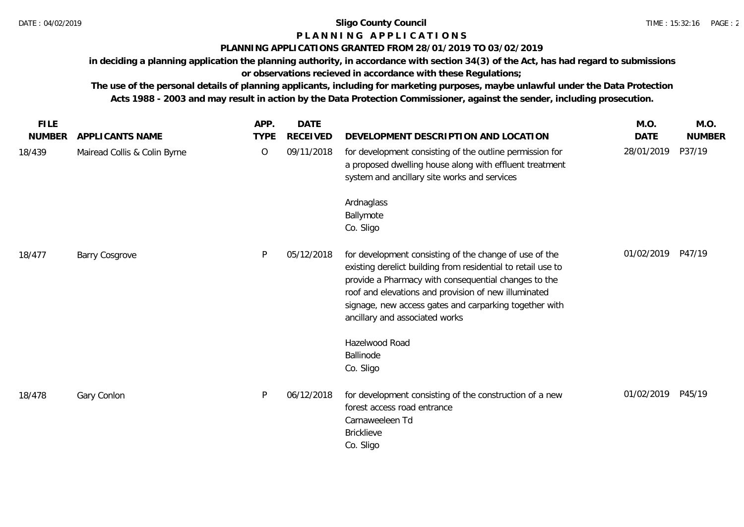# **P L A N N I N G A P P L I C A T I O N S**

# **PLANNING APPLICATIONS GRANTED FROM 28/01/2019 TO 03/02/2019**

**in deciding a planning application the planning authority, in accordance with section 34(3) of the Act, has had regard to submissions or observations recieved in accordance with these Regulations;**

**The use of the personal details of planning applicants, including for marketing purposes, maybe unlawful under the Data Protection Acts 1988 - 2003 and may result in action by the Data Protection Commissioner, against the sender, including prosecution.**

| <b>FILE</b>   |                              | APP.        | <b>DATE</b>     |                                                                                                                                                                                                                                                                                                                                    | M.O.              | M.O.          |
|---------------|------------------------------|-------------|-----------------|------------------------------------------------------------------------------------------------------------------------------------------------------------------------------------------------------------------------------------------------------------------------------------------------------------------------------------|-------------------|---------------|
| <b>NUMBER</b> | APPLICANTS NAME              | <b>TYPE</b> | <b>RECEIVED</b> | DEVELOPMENT DESCRIPTION AND LOCATION                                                                                                                                                                                                                                                                                               | <b>DATE</b>       | <b>NUMBER</b> |
| 18/439        | Mairead Collis & Colin Byrne | $\circ$     | 09/11/2018      | for development consisting of the outline permission for<br>a proposed dwelling house along with effluent treatment<br>system and ancillary site works and services                                                                                                                                                                | 28/01/2019        | P37/19        |
|               |                              |             |                 | Ardnaglass<br>Ballymote<br>Co. Sligo                                                                                                                                                                                                                                                                                               |                   |               |
| 18/477        | <b>Barry Cosgrove</b>        | P           | 05/12/2018      | for development consisting of the change of use of the<br>existing derelict building from residential to retail use to<br>provide a Pharmacy with consequential changes to the<br>roof and elevations and provision of new illuminated<br>signage, new access gates and carparking together with<br>ancillary and associated works | 01/02/2019 P47/19 |               |
|               |                              |             |                 | Hazelwood Road<br>Ballinode<br>Co. Sligo                                                                                                                                                                                                                                                                                           |                   |               |
| 18/478        | Gary Conlon                  | P           | 06/12/2018      | for development consisting of the construction of a new<br>forest access road entrance<br>Carnaweeleen Td<br><b>Bricklieve</b><br>Co. Sligo                                                                                                                                                                                        | 01/02/2019 P45/19 |               |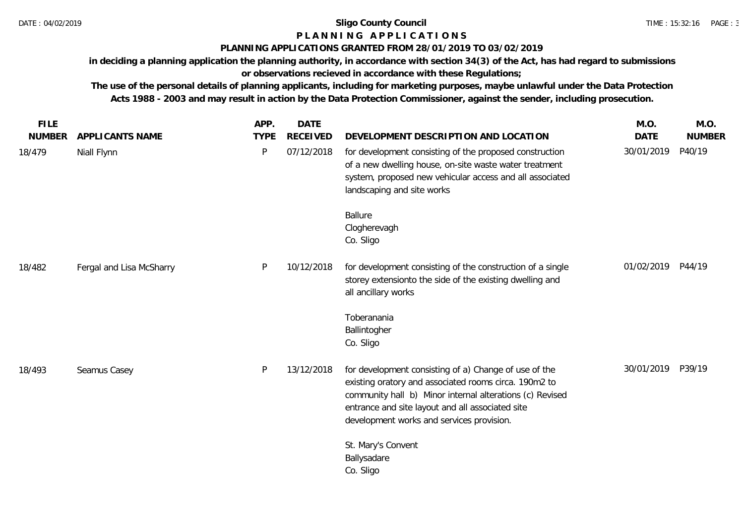# **P L A N N I N G A P P L I C A T I O N S**

# **PLANNING APPLICATIONS GRANTED FROM 28/01/2019 TO 03/02/2019**

**in deciding a planning application the planning authority, in accordance with section 34(3) of the Act, has had regard to submissions or observations recieved in accordance with these Regulations;**

**The use of the personal details of planning applicants, including for marketing purposes, maybe unlawful under the Data Protection Acts 1988 - 2003 and may result in action by the Data Protection Commissioner, against the sender, including prosecution.**

| <b>FILE</b>   |                          | APP.         | <b>DATE</b>     |                                                                                                                                                                                                                                                                             | M.O.              | M.O.          |
|---------------|--------------------------|--------------|-----------------|-----------------------------------------------------------------------------------------------------------------------------------------------------------------------------------------------------------------------------------------------------------------------------|-------------------|---------------|
| <b>NUMBER</b> | <b>APPLICANTS NAME</b>   | <b>TYPE</b>  | <b>RECEIVED</b> | DEVELOPMENT DESCRIPTION AND LOCATION                                                                                                                                                                                                                                        | <b>DATE</b>       | <b>NUMBER</b> |
| 18/479        | Niall Flynn              | $\mathsf{P}$ | 07/12/2018      | for development consisting of the proposed construction<br>of a new dwelling house, on-site waste water treatment<br>system, proposed new vehicular access and all associated<br>landscaping and site works                                                                 | 30/01/2019        | P40/19        |
|               |                          |              |                 | <b>Ballure</b><br>Clogherevagh<br>Co. Sligo                                                                                                                                                                                                                                 |                   |               |
| 18/482        | Fergal and Lisa McSharry | P            | 10/12/2018      | for development consisting of the construction of a single<br>storey extensionto the side of the existing dwelling and<br>all ancillary works                                                                                                                               | 01/02/2019 P44/19 |               |
|               |                          |              |                 | Toberanania<br>Ballintogher<br>Co. Sligo                                                                                                                                                                                                                                    |                   |               |
| 18/493        | Seamus Casey             | P            | 13/12/2018      | for development consisting of a) Change of use of the<br>existing oratory and associated rooms circa. 190m2 to<br>community hall b) Minor internal alterations (c) Revised<br>entrance and site layout and all associated site<br>development works and services provision. | 30/01/2019        | P39/19        |
|               |                          |              |                 | St. Mary's Convent<br>Ballysadare<br>Co. Sligo                                                                                                                                                                                                                              |                   |               |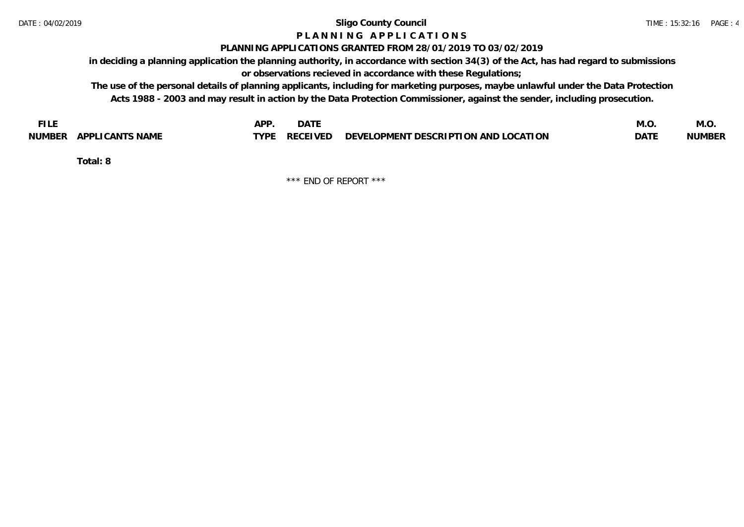# **P L A N N I N G A P P L I C A T I O N S**

#### **PLANNING APPLICATIONS GRANTED FROM 28/01/2019 TO 03/02/2019**

**in deciding a planning application the planning authority, in accordance with section 34(3) of the Act, has had regard to submissions or observations recieved in accordance with these Regulations;**

**The use of the personal details of planning applicants, including for marketing purposes, maybe unlawful under the Data Protection Acts 1988 - 2003 and may result in action by the Data Protection Commissioner, against the sender, including prosecution.**

| <b>FILE</b>               | <b>APF</b><br><b>DATE</b>                                             | M.O         | IVI.U         |
|---------------------------|-----------------------------------------------------------------------|-------------|---------------|
| APPLICANTS NAME<br>NUMBER | $\angle$ RECEIVED DEVELOPMENT DESCRIPTION AND LOCATION<br><b>TYPE</b> | <b>DATE</b> | <b>NUMBER</b> |

**Total: 8**

\*\*\* END OF REPORT \*\*\*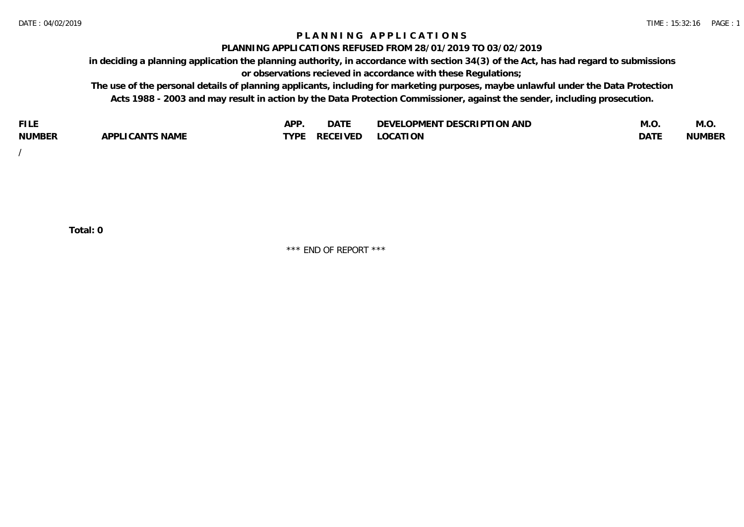## **P L A N N I N G A P P L I C A T I O N S**

#### **PLANNING APPLICATIONS REFUSED FROM 28/01/2019 TO 03/02/2019**

**in deciding a planning application the planning authority, in accordance with section 34(3) of the Act, has had regard to submissions or observations recieved in accordance with these Regulations;**

**The use of the personal details of planning applicants, including for marketing purposes, maybe unlawful under the Data Protection Acts 1988 - 2003 and may result in action by the Data Protection Commissioner, against the sender, including prosecution.**

| <b>FILE</b>   |                 | A DE | $\sim$ $\sim$ $\sim$<br>DAIL | LOPMENT DESCRIPTION AND<br><b>DEVEI</b> | M.U         | M.O           |
|---------------|-----------------|------|------------------------------|-----------------------------------------|-------------|---------------|
| <b>NUMBER</b> | APPLICANTS NAME | TVDE | <b>RECEIVED</b>              | <b>LOCATION</b>                         | <b>DATE</b> | <b>NUMBER</b> |
|               |                 |      |                              |                                         |             |               |

/

**Total: 0**

\*\*\* END OF REPORT \*\*\*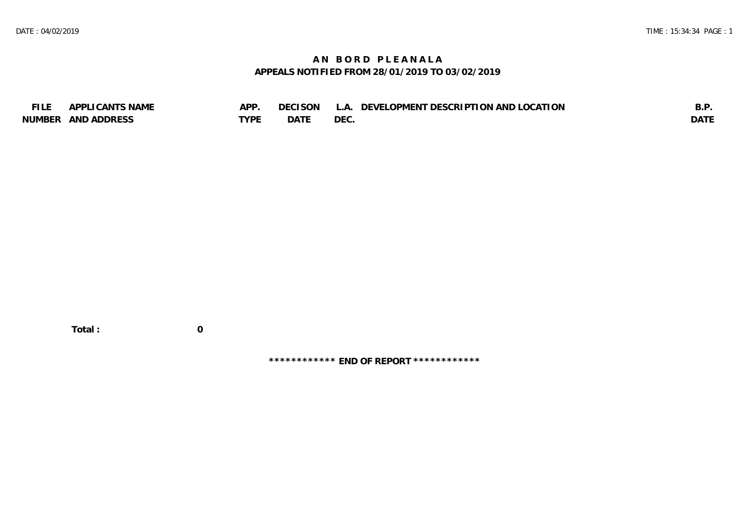# **A N B O R D P L E A N A L A APPEALS NOTIFIED FROM 28/01/2019 TO 03/02/2019**

| <b>FILE</b> | APPLICANTS NAME    | <b>APP</b> | DECISON L   | L.A. DEVELOPMENT DESCRIPTION AND LOCATION | B.F         |
|-------------|--------------------|------------|-------------|-------------------------------------------|-------------|
|             | NUMBER AND ADDRESS | TYPE       | <b>DATE</b> | <b>DEC</b>                                | <b>DATI</b> |

 **Total : 0**

**\*\*\*\*\*\*\*\*\*\*\*\* END OF REPORT \*\*\*\*\*\*\*\*\*\*\*\***